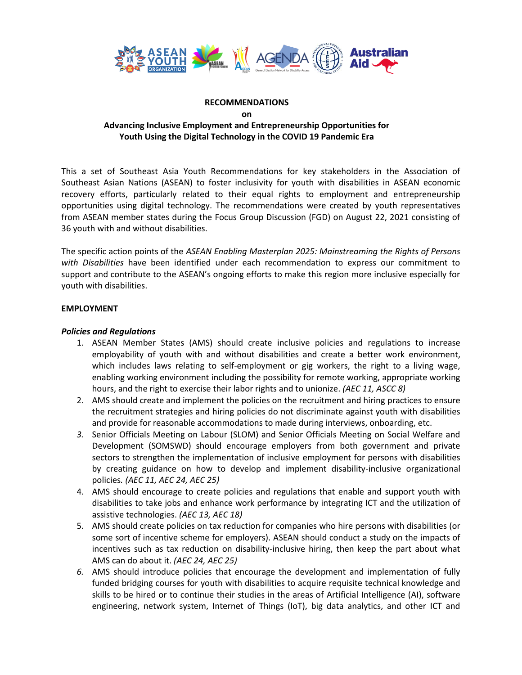

#### **RECOMMENDATIONS**

**on**

# **Advancing Inclusive Employment and Entrepreneurship Opportunities for Youth Using the Digital Technology in the COVID 19 Pandemic Era**

This a set of Southeast Asia Youth Recommendations for key stakeholders in the Association of Southeast Asian Nations (ASEAN) to foster inclusivity for youth with disabilities in ASEAN economic recovery efforts, particularly related to their equal rights to employment and entrepreneurship opportunities using digital technology. The recommendations were created by youth representatives from ASEAN member states during the Focus Group Discussion (FGD) on August 22, 2021 consisting of 36 youth with and without disabilities.

The specific action points of the *ASEAN Enabling Masterplan 2025: Mainstreaming the Rights of Persons with Disabilities* have been identified under each recommendation to express our commitment to support and contribute to the ASEAN's ongoing efforts to make this region more inclusive especially for youth with disabilities.

## **EMPLOYMENT**

## *Policies and Regulations*

- 1. ASEAN Member States (AMS) should create inclusive policies and regulations to increase employability of youth with and without disabilities and create a better work environment, which includes laws relating to self-employment or gig workers, the right to a living wage, enabling working environment including the possibility for remote working, appropriate working hours, and the right to exercise their labor rights and to unionize. *(AEC 11, ASCC 8)*
- 2. AMS should create and implement the policies on the recruitment and hiring practices to ensure the recruitment strategies and hiring policies do not discriminate against youth with disabilities and provide for reasonable accommodations to made during interviews, onboarding, etc.
- *3.* Senior Officials Meeting on Labour (SLOM) and Senior Officials Meeting on Social Welfare and Development (SOMSWD) should encourage employers from both government and private sectors to strengthen the implementation of inclusive employment for persons with disabilities by creating guidance on how to develop and implement disability-inclusive organizational policies*. (AEC 11, AEC 24, AEC 25)*
- 4. AMS should encourage to create policies and regulations that enable and support youth with disabilities to take jobs and enhance work performance by integrating ICT and the utilization of assistive technologies. *(AEC 13, AEC 18)*
- 5. AMS should create policies on tax reduction for companies who hire persons with disabilities (or some sort of incentive scheme for employers). ASEAN should conduct a study on the impacts of incentives such as tax reduction on disability-inclusive hiring, then keep the part about what AMS can do about it. *(AEC 24, AEC 25)*
- *6.* AMS should introduce policies that encourage the development and implementation of fully funded bridging courses for youth with disabilities to acquire requisite technical knowledge and skills to be hired or to continue their studies in the areas of Artificial Intelligence (AI), software engineering, network system, Internet of Things (IoT), big data analytics, and other ICT and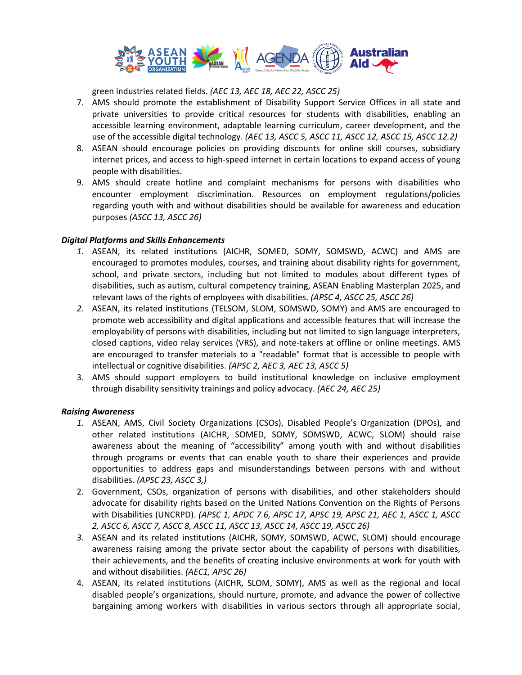

green industries related fields. *(AEC 13, AEC 18, AEC 22, ASCC 25)*

- 7. AMS should promote the establishment of Disability Support Service Offices in all state and private universities to provide critical resources for students with disabilities, enabling an accessible learning environment, adaptable learning curriculum, career development, and the use of the accessible digital technology. *(AEC 13, ASCC 5, ASCC 11, ASCC 12, ASCC 15, ASCC 12.2)*
- 8. ASEAN should encourage policies on providing discounts for online skill courses, subsidiary internet prices, and access to high-speed internet in certain locations to expand access of young people with disabilities.
- 9. AMS should create hotline and complaint mechanisms for persons with disabilities who encounter employment discrimination. Resources on employment regulations/policies regarding youth with and without disabilities should be available for awareness and education purposes *(ASCC 13, ASCC 26)*

#### *Digital Platforms and Skills Enhancements*

- *1.* ASEAN, its related institutions (AICHR, SOMED, SOMY, SOMSWD, ACWC) and AMS are encouraged to promotes modules, courses, and training about disability rights for government, school, and private sectors, including but not limited to modules about different types of disabilities, such as autism, cultural competency training, ASEAN Enabling Masterplan 2025, and relevant laws of the rights of employees with disabilities. *(APSC 4, ASCC 25, ASCC 26)*
- *2.* ASEAN, its related institutions (TELSOM, SLOM, SOMSWD, SOMY) and AMS are encouraged to promote web accessibility and digital applications and accessible features that will increase the employability of persons with disabilities, including but not limited to sign language interpreters, closed captions, video relay services (VRS), and note-takers at offline or online meetings. AMS are encouraged to transfer materials to a "readable" format that is accessible to people with intellectual or cognitive disabilities. *(APSC 2, AEC 3, AEC 13, ASCC 5)*
- 3. AMS should support employers to build institutional knowledge on inclusive employment through disability sensitivity trainings and policy advocacy. *(AEC 24, AEC 25)*

## *Raising Awareness*

- *1.* ASEAN, AMS, Civil Society Organizations (CSOs), Disabled People's Organization (DPOs), and other related institutions (AICHR, SOMED, SOMY, SOMSWD, ACWC, SLOM) should raise awareness about the meaning of "accessibility" among youth with and without disabilities through programs or events that can enable youth to share their experiences and provide opportunities to address gaps and misunderstandings between persons with and without disabilities. *(APSC 23, ASCC 3,)*
- 2. Government, CSOs, organization of persons with disabilities, and other stakeholders should advocate for disability rights based on the United Nations Convention on the Rights of Persons with Disabilities (UNCRPD). *(APSC 1, APDC 7.6, APSC 17, APSC 19, APSC 21, AEC 1, ASCC 1, ASCC 2, ASCC 6, ASCC 7, ASCC 8, ASCC 11, ASCC 13, ASCC 14, ASCC 19, ASCC 26)*
- *3.* ASEAN and its related institutions (AICHR, SOMY, SOMSWD, ACWC, SLOM) should encourage awareness raising among the private sector about the capability of persons with disabilities, their achievements, and the benefits of creating inclusive environments at work for youth with and without disabilities. *(AEC1, APSC 26)*
- 4. ASEAN, its related institutions (AICHR, SLOM, SOMY), AMS as well as the regional and local disabled people's organizations, should nurture, promote, and advance the power of collective bargaining among workers with disabilities in various sectors through all appropriate social,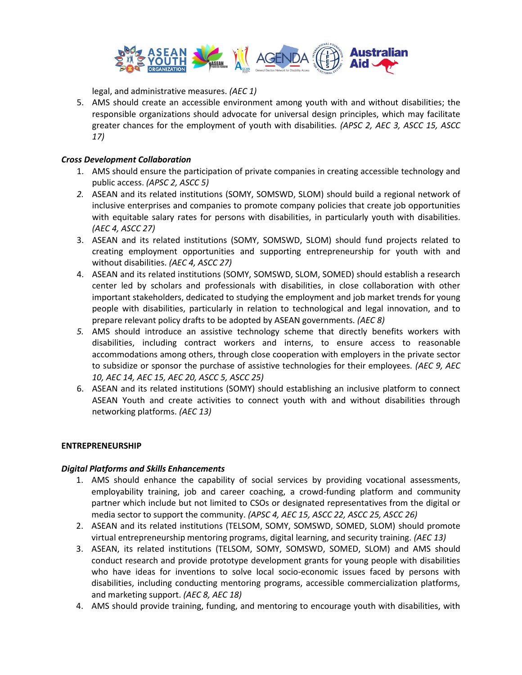

legal, and administrative measures. *(AEC 1)*

5. AMS should create an accessible environment among youth with and without disabilities; the responsible organizations should advocate for universal design principles, which may facilitate greater chances for the employment of youth with disabilities*. (APSC 2, AEC 3, ASCC 15, ASCC 17)*

#### *Cross Development Collaboration*

- 1. AMS should ensure the participation of private companies in creating accessible technology and public access. *(APSC 2, ASCC 5)*
- *2.* ASEAN and its related institutions (SOMY, SOMSWD, SLOM) should build a regional network of inclusive enterprises and companies to promote company policies that create job opportunities with equitable salary rates for persons with disabilities, in particularly youth with disabilities. *(AEC 4, ASCC 27)*
- 3. ASEAN and its related institutions (SOMY, SOMSWD, SLOM) should fund projects related to creating employment opportunities and supporting entrepreneurship for youth with and without disabilities. *(AEC 4, ASCC 27)*
- 4. ASEAN and its related institutions (SOMY, SOMSWD, SLOM, SOMED) should establish a research center led by scholars and professionals with disabilities, in close collaboration with other important stakeholders, dedicated to studying the employment and job market trends for young people with disabilities, particularly in relation to technological and legal innovation, and to prepare relevant policy drafts to be adopted by ASEAN governments. *(AEC 8)*
- *5.* AMS should introduce an assistive technology scheme that directly benefits workers with disabilities, including contract workers and interns, to ensure access to reasonable accommodations among others, through close cooperation with employers in the private sector to subsidize or sponsor the purchase of assistive technologies for their employees. *(AEC 9, AEC 10, AEC 14, AEC 15, AEC 20, ASCC 5, ASCC 25)*
- 6. ASEAN and its related institutions (SOMY) should establishing an inclusive platform to connect ASEAN Youth and create activities to connect youth with and without disabilities through networking platforms. *(AEC 13)*

#### **ENTREPRENEURSHIP**

## *Digital Platforms and Skills Enhancements*

- 1. AMS should enhance the capability of social services by providing vocational assessments, employability training, job and career coaching, a crowd-funding platform and community partner which include but not limited to CSOs or designated representatives from the digital or media sector to support the community. *(APSC 4, AEC 15, ASCC 22, ASCC 25, ASCC 26)*
- 2. ASEAN and its related institutions (TELSOM, SOMY, SOMSWD, SOMED, SLOM) should promote virtual entrepreneurship mentoring programs, digital learning, and security training. *(AEC 13)*
- 3. ASEAN, its related institutions (TELSOM, SOMY, SOMSWD, SOMED, SLOM) and AMS should conduct research and provide prototype development grants for young people with disabilities who have ideas for inventions to solve local socio-economic issues faced by persons with disabilities, including conducting mentoring programs, accessible commercialization platforms, and marketing support. *(AEC 8, AEC 18)*
- 4. AMS should provide training, funding, and mentoring to encourage youth with disabilities, with